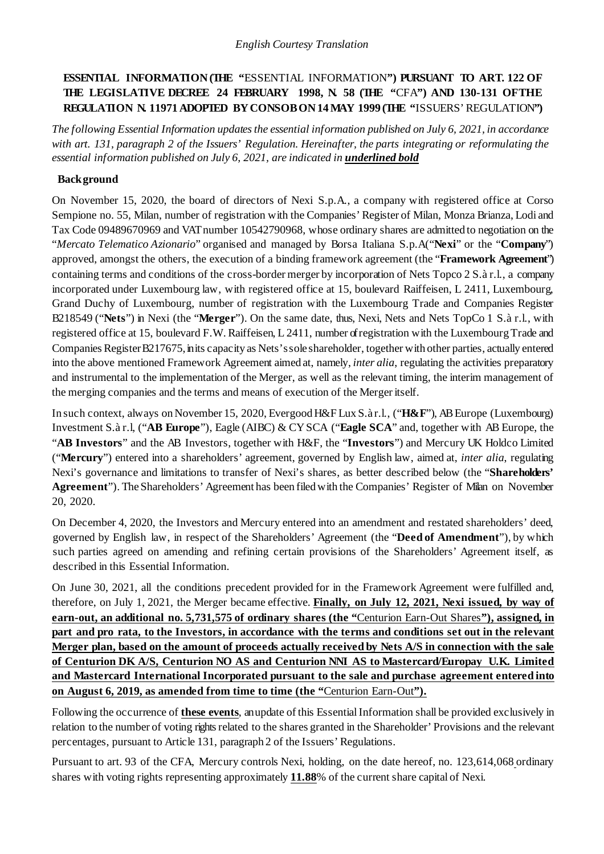# **ESSENTIAL INFORMATION(THE "**ESSENTIAL INFORMATION**") PURSUANT TO ART. 122 OF THE LEGISLATIVE DECREE 24 FEBRUARY 1998, N. 58 (THE "**CFA**") AND 130-131 OFTHE REGULATION N. 11971 ADOPTED BY CONSOB ON 14 MAY 1999 (THE "**ISSUERS' REGULATION**")**

*The following Essential Information updates the essential information published on July 6, 2021, in accordance with art. 131, paragraph 2 of the Issuers' Regulation. Hereinafter, the parts integrating or reformulating the essential information published on July 6, 2021, are indicated in underlined bold*

## **Background**

On November 15, 2020, the board of directors of Nexi S.p.A., a company with registered office at Corso Sempione no. 55, Milan, number of registration with the Companies' Register of Milan, Monza Brianza, Lodi and Tax Code 09489670969 and VAT number 10542790968, whose ordinary shares are admitted to negotiation on the "*Mercato Telematico Azionario*" organised and managed by Borsa Italiana S.p.A("**Nexi**" or the "**Company**") approved, amongst the others, the execution of a binding framework agreement (the "**Framework Agreement**") containing terms and conditions of the cross-border merger by incorporation of Nets Topco 2 S.à r.l., a company incorporated under Luxembourg law, with registered office at 15, boulevard Raiffeisen, L 2411, Luxembourg, Grand Duchy of Luxembourg, number of registration with the Luxembourg Trade and Companies Register B218549 ("**Nets**") in Nexi (the "**Merger**"). On the same date, thus, Nexi, Nets and Nets TopCo 1 S.à r.l., with registered office at 15, boulevard F.W. Raiffeisen, L 2411, number of registration with the Luxembourg Trade and Companies Register B217675, in its capacity as Nets's sole shareholder, together with other parties, actually entered into the above mentioned Framework Agreement aimed at, namely, *inter alia*, regulating the activities preparatory and instrumental to the implementation of the Merger, as well as the relevant timing, the interim management of the merging companies and the terms and means of execution of the Merger itself.

In such context, always onNovember 15, 2020, EvergoodH&F Lux S.à r.l., ("**H&F**"), ABEurope (Luxembourg) Investment S.à r.l, ("**AB Europe**"), Eagle (AIBC) & CY SCA ("**Eagle SCA**" and, together with AB Europe, the "**AB Investors**" and the AB Investors, together with H&F, the "**Investors**") and Mercury UK Holdco Limited ("**Mercury**") entered into a shareholders' agreement, governed by English law, aimed at, *inter alia*, regulating Nexi's governance and limitations to transfer of Nexi's shares, as better described below (the "**Shareholders'**  Agreement"). The Shareholders' Agreement has been filed with the Companies' Register of Milan on November 20, 2020.

On December 4, 2020, the Investors and Mercury entered into an amendment and restated shareholders' deed, governed by English law, in respect of the Shareholders' Agreement (the "**Deed of Amendment**"), by which such parties agreed on amending and refining certain provisions of the Shareholders' Agreement itself, as described in this Essential Information.

On June 30, 2021, all the conditions precedent provided for in the Framework Agreement were fulfilled and, therefore, on July 1, 2021, the Merger became effective. **Finally, on July 12, 2021, Nexi issued, by way of earn-out, an additional no. 5,731,575 of ordinary shares (the "**Centurion Earn-Out Shares**"), assigned, in part and pro rata, to the Investors, in accordance with the terms and conditions set out in the relevant Merger plan, based on the amount of proceeds actually received by Nets A/S in connection with the sale of Centurion DK A/S, Centurion NO AS and Centurion NNI AS to Mastercard/Europay U.K. Limited and Mastercard International Incorporated pursuant to the sale and purchase agreement entered into on August 6, 2019, as amended from time to time (the "**Centurion Earn-Out**").**

Following the occurrence of **these events**, an update of this Essential Information shall be provided exclusively in relation to the number of voting rights related to the shares granted in the Shareholder' Provisions and the relevant percentages, pursuant to Article 131, paragraph 2 of the Issuers' Regulations.

Pursuant to art. 93 of the CFA, Mercury controls Nexi, holding, on the date hereof, no. 123,614,068 ordinary shares with voting rights representing approximately **11.88**% of the current share capital of Nexi.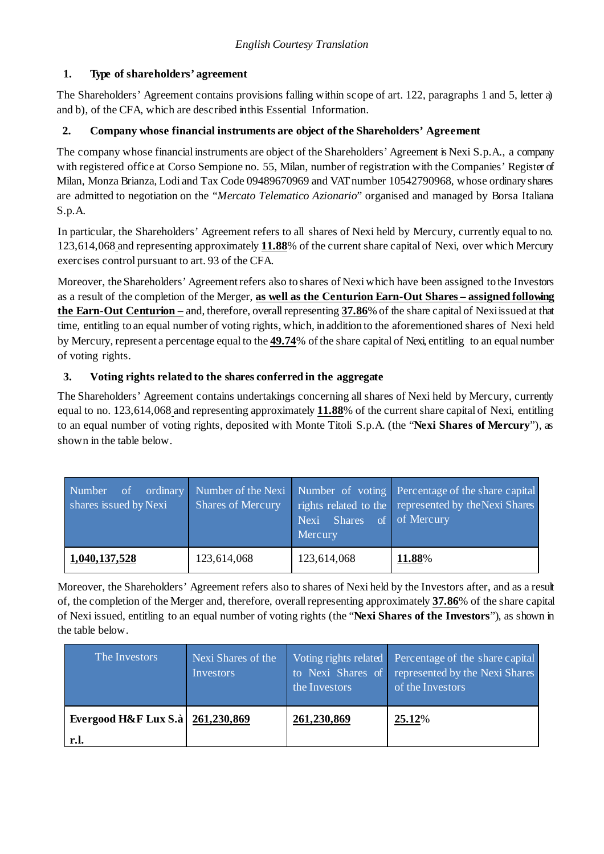# **1. Type of shareholders' agreement**

The Shareholders' Agreement contains provisions falling within scope of art. 122, paragraphs 1 and 5, letter a) and b), of the CFA, which are described in this Essential Information.

## **2. Company whose financial instruments are object of the Shareholders' Agreement**

The company whose financial instruments are object of the Shareholders' Agreement is Nexi S.p.A., a company with registered office at Corso Sempione no. 55, Milan, number of registration with the Companies' Register of Milan, Monza Brianza, Lodi and Tax Code 09489670969 and VAT number 10542790968, whose ordinary shares are admitted to negotiation on the "*Mercato Telematico Azionario*" organised and managed by Borsa Italiana S.p.A.

In particular, the Shareholders' Agreement refers to all shares of Nexi held by Mercury, currently equal to no. 123,614,068 and representing approximately **11.88**% of the current share capital of Nexi, over which Mercury exercises control pursuant to art. 93 of the CFA.

Moreover, theShareholders' Agreementrefers also to shares of Nexi which have been assigned to the Investors as a result of the completion of the Merger, **as well as the Centurion Earn-Out Shares – assigned following the Earn-Out Centurion –** and, therefore, overall representing **37.86**% of the share capital of Nexiissued at that time, entitling to an equal number of voting rights, which, in addition to the aforementioned shares of Nexi held by Mercury, represent a percentage equal to the **49.74**% of the share capital of Nexi, entitling to an equal number of voting rights.

# **3. Voting rights related to the shares conferred in the aggregate**

The Shareholders' Agreement contains undertakings concerning all shares of Nexi held by Mercury, currently equal to no. 123,614,068 and representing approximately **11.88**% of the current share capital of Nexi, entitling to an equal number of voting rights, deposited with Monte Titoli S.p.A. (the "**Nexi Shares of Mercury**"), as shown in the table below.

| ordinary<br>Number<br>of.<br>shares issued by Nexi | <b>Shares of Mercury</b> | <b>Shares</b><br>Nexi<br>Mercury | Number of the Nexi Number of voting Percentage of the share capital<br>rights related to the represented by the Nexi Shares<br>of of Mercury |
|----------------------------------------------------|--------------------------|----------------------------------|----------------------------------------------------------------------------------------------------------------------------------------------|
| 1,040,137,528                                      | 123,614,068              | 123,614,068                      | 11.88%                                                                                                                                       |

Moreover, the Shareholders' Agreement refers also to shares of Nexi held by the Investors after, and as a result of, the completion of the Merger and, therefore, overall representing approximately **37.86**% of the share capital of Nexi issued, entitling to an equal number of voting rights (the "**Nexi Shares of the Investors**"), as shown in the table below.

| The Investors                              | Nexi Shares of the<br>Investors | the Investors | Voting rights related Percentage of the share capital<br>to Nexi Shares of represented by the Nexi Shares<br>of the Investors |
|--------------------------------------------|---------------------------------|---------------|-------------------------------------------------------------------------------------------------------------------------------|
| Evergood H&F Lux S.à   261,230,869<br>r.l. |                                 | 261,230,869   | 25.12%                                                                                                                        |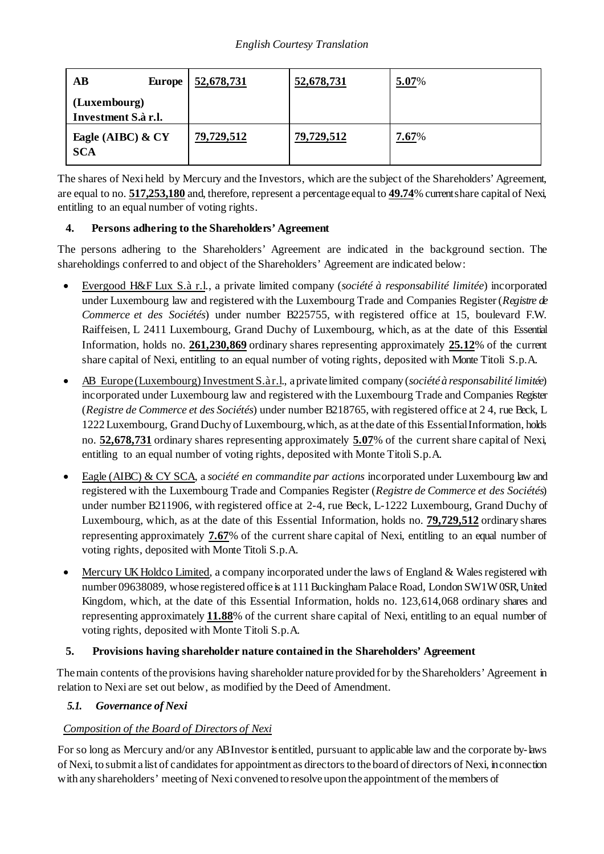| AB<br><b>Europe</b>                 | 52,678,731 | 52,678,731 | 5.07% |
|-------------------------------------|------------|------------|-------|
| (Luxembourg)<br>Investment S.à r.l. |            |            |       |
| Eagle (AIBC) & CY<br><b>SCA</b>     | 79,729,512 | 79,729,512 | 7.67% |

The shares of Nexi held by Mercury and the Investors, which are the subject of the Shareholders' Agreement, are equal to no. **517,253,180** and, therefore, represent a percentage equal to **49.74**% current share capital of Nexi, entitling to an equal number of voting rights.

# **4. Persons adhering to the Shareholders' Agreement**

The persons adhering to the Shareholders' Agreement are indicated in the background section. The shareholdings conferred to and object of the Shareholders' Agreement are indicated below:

- Evergood H&F Lux S.à r.l., a private limited company (*société à responsabilité limitée*) incorporated under Luxembourg law and registered with the Luxembourg Trade and Companies Register (*Registre de Commerce et des Sociétés*) under number B225755, with registered office at 15, boulevard F.W. Raiffeisen, L 2411 Luxembourg, Grand Duchy of Luxembourg, which, as at the date of this Essential Information, holds no. **261,230,869** ordinary shares representing approximately **25.12**% of the current share capital of Nexi, entitling to an equal number of voting rights, deposited with Monte Titoli S.p.A.
- AB Europe (Luxembourg) Investment S.à r.l., a private limited company (*société à responsabilité limitée*) incorporated under Luxembourg law and registered with the Luxembourg Trade and Companies Register (*Registre de Commerce et des Sociétés*) under number B218765, with registered office at 2 4, rue Beck, L 1222Luxembourg, GrandDuchy of Luxembourg,which, as at the date of this EssentialInformation, holds no. **52,678,731** ordinary shares representing approximately **5.07**% of the current share capital of Nexi, entitling to an equal number of voting rights, deposited with Monte Titoli S.p.A.
- Eagle (AIBC) & CY SCA, a *société en commandite par actions* incorporated under Luxembourg law and registered with the Luxembourg Trade and Companies Register (*Registre de Commerce et des Sociétés*) under number B211906, with registered office at 2-4, rue Beck, L-1222 Luxembourg, Grand Duchy of Luxembourg, which, as at the date of this Essential Information, holds no. **79,729,512** ordinary shares representing approximately **7.67**% of the current share capital of Nexi, entitling to an equal number of voting rights, deposited with Monte Titoli S.p.A.
- Mercury UK Holdco Limited, a company incorporated under the laws of England & Wales registered with number 09638089, whose registered office is at 111 Buckingham Palace Road, London SW1W0SR, United Kingdom, which, at the date of this Essential Information, holds no. 123,614,068 ordinary shares and representing approximately **11.88**% of the current share capital of Nexi, entitling to an equal number of voting rights, deposited with Monte Titoli S.p.A.

# **5. Provisions having shareholder nature contained in the Shareholders' Agreement**

The main contents of the provisions having shareholder nature provided for by the Shareholders' Agreement in relation to Nexi are set out below, as modified by the Deed of Amendment.

# <span id="page-2-0"></span>*5.1. Governance of Nexi*

# *Composition of the Board of Directors of Nexi*

For so long as Mercury and/or any AB Investor is entitled, pursuant to applicable law and the corporate by-laws of Nexi, to submit a list of candidates for appointment as directors to the board of directors of Nexi, in connection with any shareholders' meeting of Nexi convened to resolve upon the appointment of the members of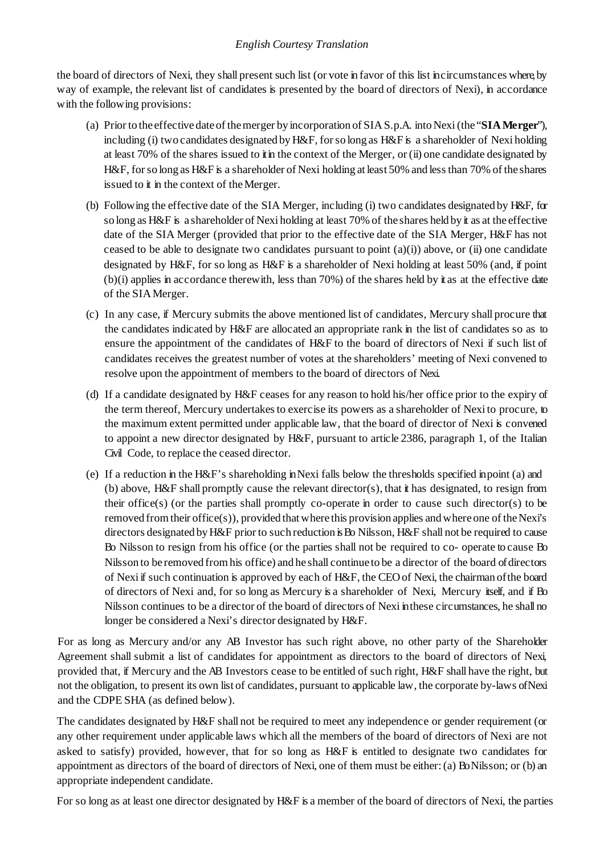the board of directors of Nexi, they shall present such list (or vote in favor of this list in circumstances where, by way of example, the relevant list of candidates is presented by the board of directors of Nexi), in accordance with the following provisions:

- (a) Prior to the effective date of themerger by incorporation of SIAS.p.A. intoNexi(the "**SIAMerger**"), including (i) two candidates designated by H&F, for so long as H&F is a shareholder of Nexi holding at least 70% of the shares issued to **i** in the context of the Merger, or (ii) one candidate designated by H&F, for so long as H&F is a shareholder of Nexi holding at least 50% and less than 70% of the shares issued to it in the context of the Merger.
- (b) Following the effective date of the SIA Merger, including (i) two candidates designated by H&F, for so long as H&F is a shareholder of Nexi holding at least 70% of the shares held by it as at the effective date of the SIA Merger (provided that prior to the effective date of the SIA Merger, H&F has not ceased to be able to designate two candidates pursuant to point  $(a)(i)$  above, or (ii) one candidate designated by H&F, for so long as H&F is a shareholder of Nexi holding at least 50% (and, if point (b)(i) applies in accordance therewith, less than 70%) of the shares held by it as at the effective date of the SIAMerger.
- (c) In any case, if Mercury submits the above mentioned list of candidates, Mercury shall procure that the candidates indicated by H&F are allocated an appropriate rank in the list of candidates so as to ensure the appointment of the candidates of H&F to the board of directors of Nexi if such list of candidates receives the greatest number of votes at the shareholders' meeting of Nexi convened to resolve upon the appointment of members to the board of directors of Nexi.
- (d) If a candidate designated by H&F ceases for any reason to hold his/her office prior to the expiry of the term thereof, Mercury undertakes to exercise its powers as a shareholder of Nexi to procure, to the maximum extent permitted under applicable law, that the board of director of Nexi is convened to appoint a new director designated by H&F, pursuant to article 2386, paragraph 1, of the Italian Civil Code, to replace the ceased director.
- (e) If a reduction in the H&F's shareholding in Nexi falls below the thresholds specified in point (a) and (b) above, H&F shall promptly cause the relevant director(s), that it has designated, to resign from their office(s) (or the parties shall promptly co-operate in order to cause such director(s) to be removed from their office(s)), provided that where this provision applies and where one of the Nexi's directors designated by H&F prior to such reduction is Bo Nilsson, H&F shall not be required to cause Bo Nilsson to resign from his office (or the parties shall not be required to co- operate to cause Bo Nilsson to be removed fromhis office) and he shall continue to be a director of the board of directors of Nexi if such continuation is approved by each of H&F, the CEO of Nexi, the chairman ofthe board of directors of Nexi and, for so long as Mercury is a shareholder of Nexi, Mercury itself, and if Bo Nilsson continues to be a director of the board of directors of Nexi in these circumstances, he shall no longer be considered a Nexi's director designated by H&F.

For as long as Mercury and/or any AB Investor has such right above, no other party of the Shareholder Agreement shall submit a list of candidates for appointment as directors to the board of directors of Nexi, provided that, if Mercury and the AB Investors cease to be entitled of such right, H&F shall have the right, but not the obligation, to present its own list of candidates, pursuant to applicable law, the corporate by-laws of Nexi and the CDPE SHA (as defined below).

The candidates designated by H&F shall not be required to meet any independence or gender requirement (or any other requirement under applicable laws which all the members of the board of directors of Nexi are not asked to satisfy) provided, however, that for so long as H&F is entitled to designate two candidates for appointment as directors of the board of directors of Nexi, one of them must be either: (a) Bo Nilsson; or (b) an appropriate independent candidate.

For so long as at least one director designated by H&F is a member of the board of directors of Nexi, the parties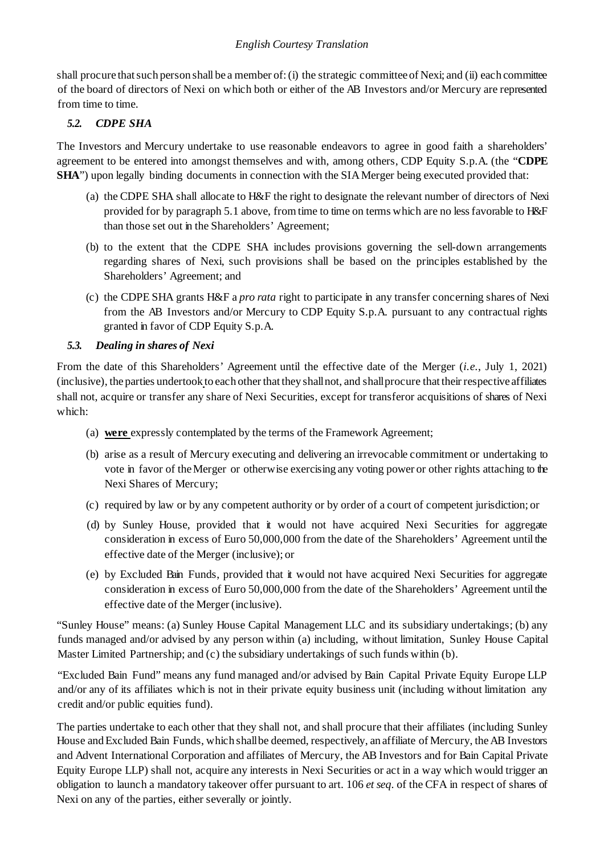shall procure that such person shall be a member of: (i) the strategic committee of Nexi; and (ii) each committee of the board of directors of Nexi on which both or either of the AB Investors and/or Mercury are represented from time to time.

## *5.2. CDPE SHA*

The Investors and Mercury undertake to use reasonable endeavors to agree in good faith a shareholders' agreement to be entered into amongst themselves and with, among others, CDP Equity S.p.A. (the "**CDPE SHA**") upon legally binding documents in connection with the SIA Merger being executed provided that:

- (a) the CDPE SHA shall allocate to H&F the right to designate the relevant number of directors of Nexi provided for by paragrap[h 5.1](#page-2-0) above, from time to time on terms which are no less favorable to H&F than those set out in the Shareholders' Agreement;
- (b) to the extent that the CDPE SHA includes provisions governing the sell-down arrangements regarding shares of Nexi, such provisions shall be based on the principles established by the Shareholders' Agreement; and
- (c) the CDPE SHA grants H&F a *pro rata* right to participate in any transfer concerning shares of Nexi from the AB Investors and/or Mercury to CDP Equity S.p.A. pursuant to any contractual rights granted in favor of CDP Equity S.p.A.

### *5.3. Dealing in shares of Nexi*

From the date of this Shareholders' Agreement until the effective date of the Merger (*i.e*., July 1, 2021) (inclusive), the parties undertook to each other that they shall not, and shall procure that their respective affiliates shall not, acquire or transfer any share of Nexi Securities, except for transferor acquisitions of shares of Nexi which:

- (a) **were** expressly contemplated by the terms of the Framework Agreement;
- (b) arise as a result of Mercury executing and delivering an irrevocable commitment or undertaking to vote in favor of theMerger or otherwise exercising any voting power or other rights attaching to the Nexi Shares of Mercury;
- (c) required by law or by any competent authority or by order of a court of competent jurisdiction; or
- (d) by Sunley House, provided that it would not have acquired Nexi Securities for aggregate consideration in excess of Euro 50,000,000 from the date of the Shareholders' Agreement until the effective date of the Merger (inclusive); or
- (e) by Excluded Bain Funds, provided that it would not have acquired Nexi Securities for aggregate consideration in excess of Euro 50,000,000 from the date of the Shareholders' Agreement until the effective date of the Merger(inclusive).

"Sunley House" means: (a) Sunley House Capital Management LLC and its subsidiary undertakings; (b) any funds managed and/or advised by any person within (a) including, without limitation, Sunley House Capital Master Limited Partnership; and (c) the subsidiary undertakings of such funds within (b).

"Excluded Bain Fund" means any fund managed and/or advised by Bain Capital Private Equity Europe LLP and/or any of its affiliates which is not in their private equity business unit (including without limitation any credit and/or public equities fund).

The parties undertake to each other that they shall not, and shall procure that their affiliates (including Sunley House and Excluded Bain Funds, which shall be deemed, respectively, an affiliate of Mercury, the AB Investors and Advent International Corporation and affiliates of Mercury, the AB Investors and for Bain Capital Private Equity Europe LLP) shall not, acquire any interests in Nexi Securities or act in a way which would trigger an obligation to launch a mandatory takeover offer pursuant to art. 106 *et seq*. of the CFA in respect of shares of Nexi on any of the parties, either severally or jointly.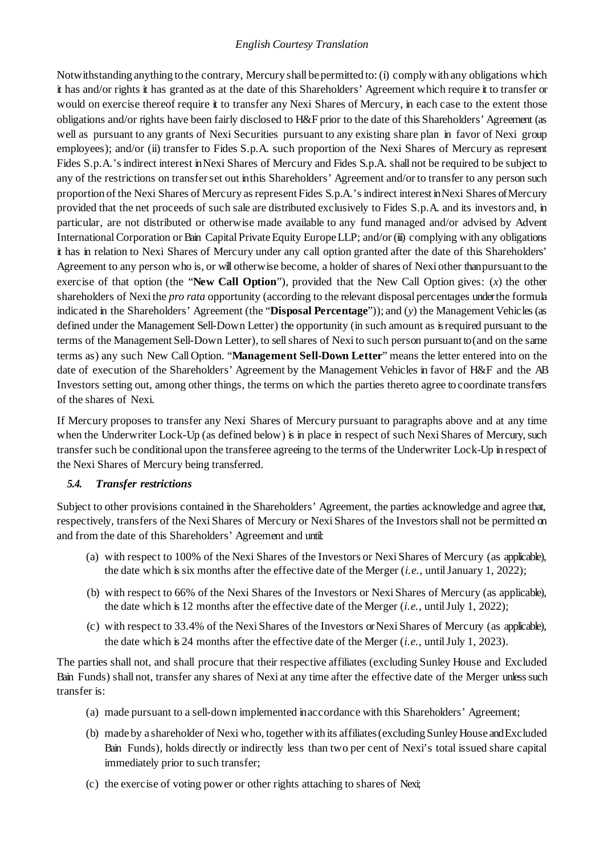Notwithstanding anything to the contrary, Mercury shall be permitted to:(i) complywith any obligations which it has and/or rights it has granted as at the date of this Shareholders' Agreement which require it to transfer or would on exercise thereof require it to transfer any Nexi Shares of Mercury, in each case to the extent those obligations and/or rights have been fairly disclosed to H&F prior to the date of this Shareholders' Agreement (as well as pursuant to any grants of Nexi Securities pursuant to any existing share plan in favor of Nexi group employees); and/or (ii) transfer to Fides S.p.A. such proportion of the Nexi Shares of Mercury as represent Fides S.p.A.'s indirect interest in Nexi Shares of Mercury and Fides S.p.A. shall not be required to be subject to any of the restrictions on transfer set out in this Shareholders' Agreement and/or to transfer to any person such proportion of the Nexi Shares of Mercury as represent Fides S.p.A.'s indirect interest in Nexi Shares of Mercury provided that the net proceeds of such sale are distributed exclusively to Fides S.p.A. and its investors and, in particular, are not distributed or otherwise made available to any fund managed and/or advised by Advent International Corporation or Bain Capital Private Equity Europe LLP; and/or (iii) complying with any obligations it has in relation to Nexi Shares of Mercury under any call option granted after the date of this Shareholders' Agreement to any person who is, or will otherwise become, a holder of shares of Nexi other than pursuant to the exercise of that option (the "**New Call Option**"), provided that the New Call Option gives: (*x*) the other shareholders of Nexi the *pro rata* opportunity (according to the relevant disposal percentages under the formula indicated in the Shareholders' Agreement (the "**Disposal Percentage**")); and (*y*) the Management Vehicles (as defined under the Management Sell-Down Letter) the opportunity (in such amount as is required pursuant to the terms of the Management Sell-Down Letter), to sell shares of Nexi to such person pursuant to (and on the same terms as) any such New Call Option. "**Management Sell-Down Letter**" means the letter entered into on the date of execution of the Shareholders' Agreement by the Management Vehicles in favor of H&F and the AB Investors setting out, among other things, the terms on which the parties thereto agree to coordinate transfers of the shares of Nexi.

If Mercury proposes to transfer any Nexi Shares of Mercury pursuant to paragraphs above and at any time when the Underwriter Lock-Up (as defined below) is in place in respect of such Nexi Shares of Mercury, such transfer such be conditional upon the transferee agreeing to the terms of the Underwriter Lock-Up in respect of the Nexi Shares of Mercury being transferred.

### <span id="page-5-0"></span>*5.4. Transfer restrictions*

Subject to other provisions contained in the Shareholders' Agreement, the parties acknowledge and agree that, respectively, transfers of the Nexi Shares of Mercury or Nexi Shares of the Investors shall not be permitted on and from the date of this Shareholders' Agreement and until:

- (a) with respect to 100% of the Nexi Shares of the Investors or Nexi Shares of Mercury (as applicable), the date which is six months after the effective date of the Merger (*i.e.*, until January 1, 2022);
- (b) with respect to 66% of the Nexi Shares of the Investors or Nexi Shares of Mercury (as applicable), the date which is 12 months after the effective date of the Merger (*i.e.*, until July 1, 2022);
- (c) with respect to 33.4% of the Nexi Shares of the Investors or Nexi Shares of Mercury (as applicable), the date which is 24 months after the effective date of the Merger (*i.e.*, until July 1, 2023).

The parties shall not, and shall procure that their respective affiliates (excluding Sunley House and Excluded Bain Funds) shall not, transfer any shares of Nexi at any time after the effective date of the Merger unless such transfer is:

- (a) made pursuant to a sell-down implemented inaccordance with this Shareholders' Agreement;
- (b) made by a shareholder of Nexi who, together with its affiliates (excluding Sunley House and Excluded Bain Funds), holds directly or indirectly less than two per cent of Nexi's total issued share capital immediately prior to such transfer;
- (c) the exercise of voting power or other rights attaching to shares of Nexi;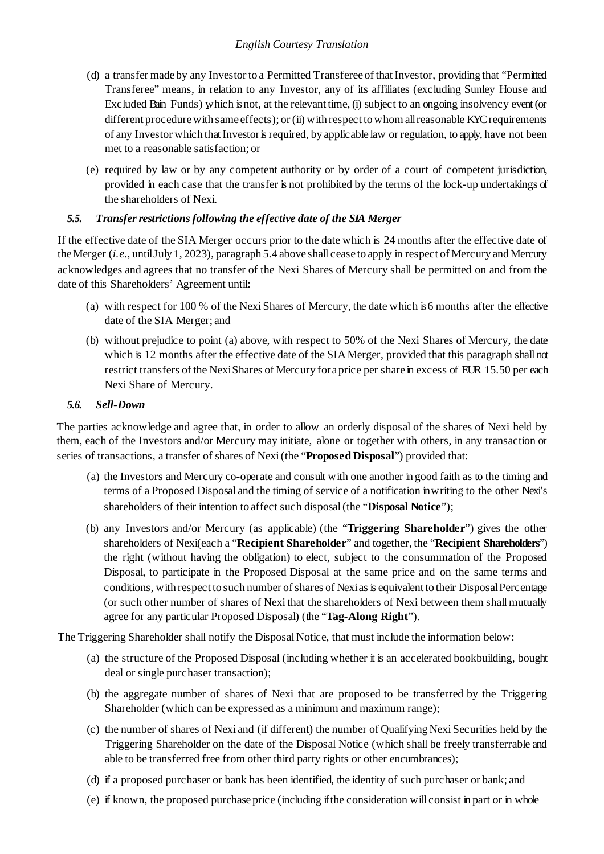- (d) a transfer made by any Investor to a Permitted Transferee of that Investor, providing that "Permitted" Transferee" means, in relation to any Investor, any of its affiliates (excluding Sunley House and Excluded Bain Funds) which is not, at the relevant time, (i) subject to an ongoing insolvency event (or different procedure with same effects); or (ii) with respect to whom all reasonable KYC requirements of any Investor which that Investor is required, by applicable law or regulation, to apply, have not been met to a reasonable satisfaction; or
- (e) required by law or by any competent authority or by order of a court of competent jurisdiction, provided in each case that the transfer is not prohibited by the terms of the lock-up undertakings of the shareholders of Nexi.

### *5.5. Transfer restrictions following the effective date of the SIA Merger*

If the effective date of the SIA Merger occurs prior to the date which is 24 months after the effective date of the Merger (*i.e*., until July 1, 2023), paragrap[h 5.4](#page-5-0) above shall cease to apply in respect of Mercury and Mercury acknowledges and agrees that no transfer of the Nexi Shares of Mercury shall be permitted on and from the date of this Shareholders' Agreement until:

- (a) with respect for 100 % of the Nexi Shares of Mercury, the date which is 6 months after the effective date of the SIA Merger; and
- (b) without prejudice to point (a) above, with respect to 50% of the Nexi Shares of Mercury, the date which is 12 months after the effective date of the SIA Merger, provided that this paragraph shall not restrict transfers of the NexiShares of Mercury fora price per share in excess of EUR 15.50 per each Nexi Share of Mercury.

### *5.6. Sell-Down*

The parties acknowledge and agree that, in order to allow an orderly disposal of the shares of Nexi held by them, each of the Investors and/or Mercury may initiate, alone or together with others, in any transaction or series of transactions, a transfer of shares of Nexi (the "**Proposed Disposal**") provided that:

- (a) the Investors and Mercury co-operate and consult with one another in good faith as to the timing and terms of a Proposed Disposal and the timing of service of a notification in writing to the other Nexi's shareholders of their intention to affect such disposal (the "**Disposal Notice**");
- (b) any Investors and/or Mercury (as applicable) (the "**Triggering Shareholder**") gives the other shareholders of Nexi(each a "**Recipient Shareholder**" and together, the "**Recipient Shareholders**") the right (without having the obligation) to elect, subject to the consummation of the Proposed Disposal, to participate in the Proposed Disposal at the same price and on the same terms and conditions, with respect to such number of shares of Nexias is equivalent to their Disposal Percentage (or such other number of shares of Nexi that the shareholders of Nexi between them shall mutually agree for any particular Proposed Disposal) (the "**Tag-Along Right**").

The Triggering Shareholder shall notify the Disposal Notice, that must include the information below:

- (a) the structure of the Proposed Disposal (including whether it is an accelerated bookbuilding, bought deal or single purchaser transaction);
- (b) the aggregate number of shares of Nexi that are proposed to be transferred by the Triggering Shareholder (which can be expressed as a minimum and maximum range);
- (c) the number of shares of Nexi and (if different) the number of Qualifying Nexi Securities held by the Triggering Shareholder on the date of the Disposal Notice (which shall be freely transferrable and able to be transferred free from other third party rights or other encumbrances);
- (d) if a proposed purchaser or bank has been identified, the identity of such purchaser or bank; and
- (e) if known, the proposed purchase price (including if the consideration will consist in part or in whole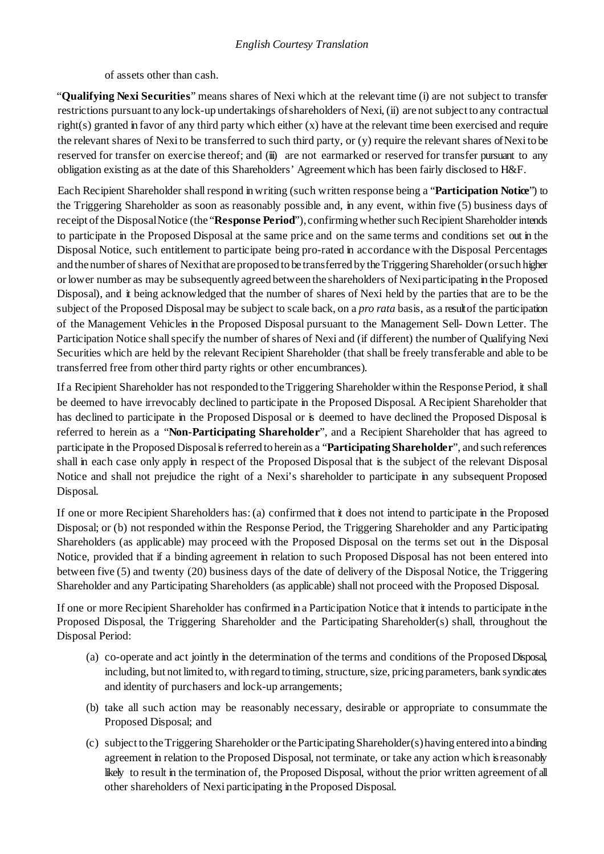of assets other than cash.

"**Qualifying Nexi Securities**" means shares of Nexi which at the relevant time (i) are not subject to transfer restrictions pursuant to any lock-up undertakings ofshareholders of Nexi, (ii) are not subject to any contractual right(s) granted in favor of any third party which either  $(x)$  have at the relevant time been exercised and require the relevant shares of Nexi to be transferred to such third party, or (y) require the relevant shares of Nexi to be reserved for transfer on exercise thereof; and (iii) are not earmarked or reserved for transfer pursuant to any obligation existing as at the date of this Shareholders' Agreement which has been fairly disclosed to H&F.

Each Recipient Shareholder shall respond inwriting (such written response being a "**Participation Notice**") to the Triggering Shareholder as soon as reasonably possible and, in any event, within five (5) business days of receipt of the Disposal Notice (the "**Response Period**"), confirming whether such Recipient Shareholder intends to participate in the Proposed Disposal at the same price and on the same terms and conditions set out in the Disposal Notice, such entitlement to participate being pro-rated in accordance with the Disposal Percentages and the number of shares of Nexithat are proposed to be transferred by the Triggering Shareholder (or such higher or lower number as may be subsequently agreed between the shareholders of Nexiparticipating in the Proposed Disposal), and it being acknowledged that the number of shares of Nexi held by the parties that are to be the subject of the Proposed Disposal may be subject to scale back, on a *pro rata* basis, as a result of the participation of the Management Vehicles in the Proposed Disposal pursuant to the Management Sell- Down Letter. The Participation Notice shall specify the number of shares of Nexi and (if different) the number of Qualifying Nexi Securities which are held by the relevant Recipient Shareholder (that shall be freely transferable and able to be transferred free from other third party rights or other encumbrances).

If a Recipient Shareholder has not responded to the Triggering Shareholder within the Response Period, it shall be deemed to have irrevocably declined to participate in the Proposed Disposal. A Recipient Shareholder that has declined to participate in the Proposed Disposal or is deemed to have declined the Proposed Disposal is referred to herein as a "**Non-Participating Shareholder**", and a Recipient Shareholder that has agreed to participate in the Proposed Disposal is referred to herein as a "**Participating Shareholder**", and such references shall in each case only apply in respect of the Proposed Disposal that is the subject of the relevant Disposal Notice and shall not prejudice the right of a Nexi's shareholder to participate in any subsequent Proposed Disposal.

If one or more Recipient Shareholders has: (a) confirmed that it does not intend to participate in the Proposed Disposal; or (b) not responded within the Response Period, the Triggering Shareholder and any Participating Shareholders (as applicable) may proceed with the Proposed Disposal on the terms set out in the Disposal Notice, provided that if a binding agreement in relation to such Proposed Disposal has not been entered into between five (5) and twenty (20) business days of the date of delivery of the Disposal Notice, the Triggering Shareholder and any Participating Shareholders (as applicable) shall not proceed with the Proposed Disposal.

If one or more Recipient Shareholder has confirmed in a Participation Notice that it intends to participate in the Proposed Disposal, the Triggering Shareholder and the Participating Shareholder(s) shall, throughout the Disposal Period:

- (a) co-operate and act jointly in the determination of the terms and conditions of the Proposed Disposal, including, but not limited to, with regard to timing, structure, size, pricing parameters, bank syndicates and identity of purchasers and lock-up arrangements;
- (b) take all such action may be reasonably necessary, desirable or appropriate to consummate the Proposed Disposal; and
- (c) subject to the Triggering Shareholder or the Participating Shareholder(s) having entered into a binding agreement in relation to the Proposed Disposal, not terminate, or take any action which is reasonably likely to result in the termination of, the Proposed Disposal, without the prior written agreement of all other shareholders of Nexi participating in the Proposed Disposal.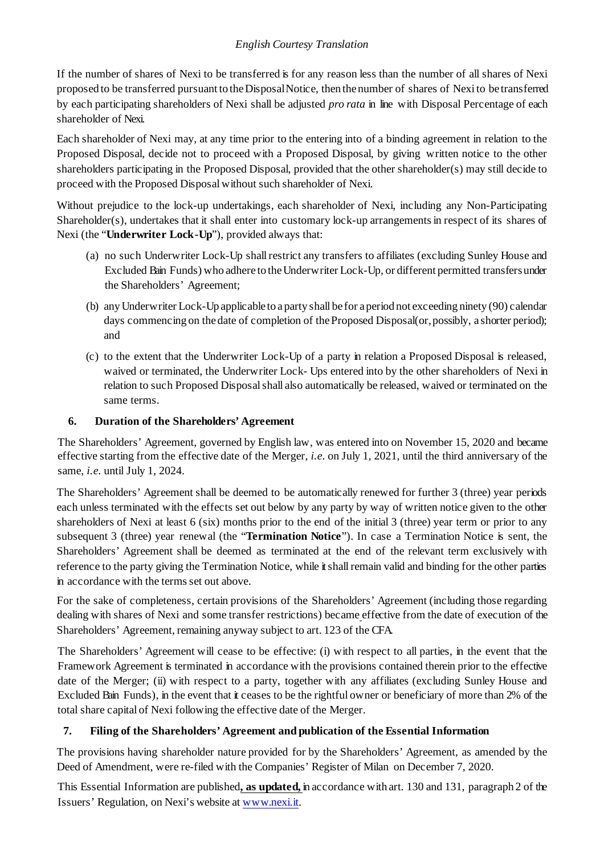If the number of shares of Nexi to be transferred is for any reason less than the number of all shares of Nexi proposed to be transferred pursuant to theDisposalNotice, then the number of shares of Nexi to be transferred by each participating shareholders of Nexi shall be adjusted *pro rata* in line with Disposal Percentage of each shareholder of Nexi.

Each shareholder of Nexi may, at any time prior to the entering into of a binding agreement in relation to the Proposed Disposal, decide not to proceed with a Proposed Disposal, by giving written notice to the other shareholders participating in the Proposed Disposal, provided that the other shareholder(s) may still decide to proceed with the Proposed Disposal without such shareholder of Nexi.

Without prejudice to the lock-up undertakings, each shareholder of Nexi, including any Non-Participating Shareholder(s), undertakes that it shall enter into customary lock-up arrangements in respect of its shares of Nexi (the "**Underwriter Lock-Up**"), provided always that:

- (a) no such Underwriter Lock-Up shall restrict any transfers to affiliates (excluding Sunley House and Excluded Bain Funds) who adhere to the Underwriter Lock-Up, or different permitted transfers under the Shareholders' Agreement;
- (b) any Underwriter Lock-Up applicable to a party shall be for a period not exceeding ninety (90) calendar days commencing on the date of completion of the Proposed Disposal(or, possibly, a shorter period); and
- (c) to the extent that the Underwriter Lock-Up of a party in relation a Proposed Disposal is released, waived or terminated, the Underwriter Lock- Ups entered into by the other shareholders of Nexi in relation to such Proposed Disposal shall also automatically be released, waived or terminated on the same terms.

## **6. Duration of the Shareholders' Agreement**

The Shareholders' Agreement, governed by English law, was entered into on November 15, 2020 and became effective starting from the effective date of the Merger, *i.e*. on July 1, 2021, until the third anniversary of the same, *i.e*. until July 1, 2024.

The Shareholders' Agreement shall be deemed to be automatically renewed for further 3 (three) year periods each unless terminated with the effects set out below by any party by way of written notice given to the other shareholders of Nexi at least 6 (six) months prior to the end of the initial 3 (three) year term or prior to any subsequent 3 (three) year renewal (the "**Termination Notice**"). In case a Termination Notice is sent, the Shareholders' Agreement shall be deemed as terminated at the end of the relevant term exclusively with reference to the party giving the Termination Notice, while it shall remain valid and binding for the other parties in accordance with the terms set out above.

For the sake of completeness, certain provisions of the Shareholders' Agreement (including those regarding dealing with shares of Nexi and some transfer restrictions) became effective from the date of execution of the Shareholders' Agreement, remaining anyway subject to art. 123 of the CFA.

The Shareholders' Agreement will cease to be effective: (i) with respect to all parties, in the event that the Framework Agreement is terminated in accordance with the provisions contained therein prior to the effective date of the Merger; (ii) with respect to a party, together with any affiliates (excluding Sunley House and Excluded Bain Funds), in the event that it ceases to be the rightful owner or beneficiary of more than 2% of the total share capital of Nexi following the effective date of the Merger.

## **7. Filing of the Shareholders' Agreement and publication of the Essential Information**

The provisions having shareholder nature provided for by the Shareholders' Agreement, as amended by the Deed of Amendment, were re-filed with the Companies' Register of Milan on December 7, 2020.

This Essential Information are published**, as updated,** in accordance with art. 130 and 131, paragraph 2 of the Issuers' Regulation, on Nexi's website a[t www.nexi.it.](http://www.nexi.it/)